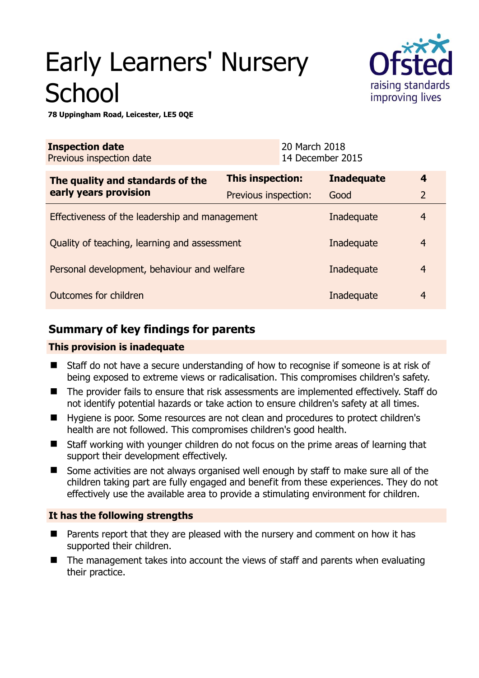# Early Learners' Nursery **School**



**78 Uppingham Road, Leicester, LE5 0QE** 

| <b>Inspection date</b><br>Previous inspection date |                         | 20 March 2018<br>14 December 2015 |                   |                |
|----------------------------------------------------|-------------------------|-----------------------------------|-------------------|----------------|
| The quality and standards of the                   | <b>This inspection:</b> |                                   | <b>Inadequate</b> | 4              |
| early years provision                              | Previous inspection:    |                                   | Good              | $\overline{2}$ |
| Effectiveness of the leadership and management     |                         |                                   | Inadequate        | 4              |
| Quality of teaching, learning and assessment       |                         |                                   | Inadequate        | $\overline{4}$ |
| Personal development, behaviour and welfare        |                         |                                   | Inadequate        | $\overline{4}$ |
| Outcomes for children                              |                         |                                   | Inadequate        | $\overline{4}$ |

# **Summary of key findings for parents**

## **This provision is inadequate**

- Staff do not have a secure understanding of how to recognise if someone is at risk of being exposed to extreme views or radicalisation. This compromises children's safety.
- The provider fails to ensure that risk assessments are implemented effectively. Staff do not identify potential hazards or take action to ensure children's safety at all times.
- Hygiene is poor. Some resources are not clean and procedures to protect children's health are not followed. This compromises children's good health.
- Staff working with younger children do not focus on the prime areas of learning that support their development effectively.
- Some activities are not always organised well enough by staff to make sure all of the children taking part are fully engaged and benefit from these experiences. They do not effectively use the available area to provide a stimulating environment for children.

## **It has the following strengths**

- **Parents report that they are pleased with the nursery and comment on how it has** supported their children.
- The management takes into account the views of staff and parents when evaluating their practice.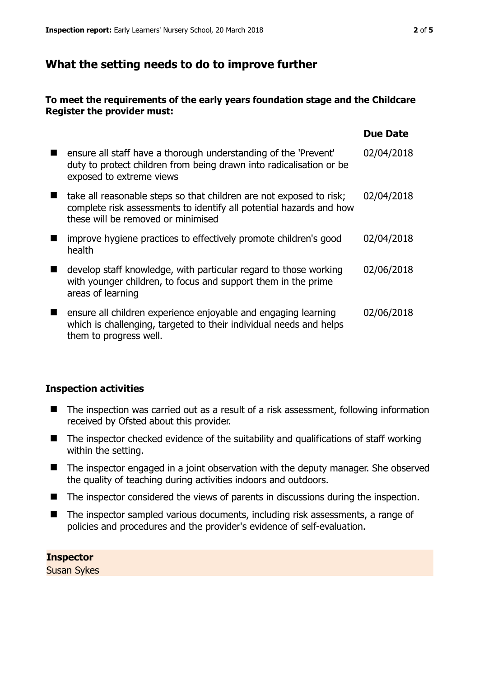## **What the setting needs to do to improve further**

## **To meet the requirements of the early years foundation stage and the Childcare Register the provider must:**

|                                                                                                                                                                                  | <b>Due Date</b> |
|----------------------------------------------------------------------------------------------------------------------------------------------------------------------------------|-----------------|
| ensure all staff have a thorough understanding of the 'Prevent'<br>duty to protect children from being drawn into radicalisation or be<br>exposed to extreme views               | 02/04/2018      |
| take all reasonable steps so that children are not exposed to risk;<br>complete risk assessments to identify all potential hazards and how<br>these will be removed or minimised | 02/04/2018      |
| improve hygiene practices to effectively promote children's good<br>health                                                                                                       | 02/04/2018      |
| develop staff knowledge, with particular regard to those working<br>with younger children, to focus and support them in the prime<br>areas of learning                           | 02/06/2018      |
| ensure all children experience enjoyable and engaging learning<br>which is challenging, targeted to their individual needs and helps<br>them to progress well.                   | 02/06/2018      |

## **Inspection activities**

- The inspection was carried out as a result of a risk assessment, following information received by Ofsted about this provider.
- $\blacksquare$  The inspector checked evidence of the suitability and qualifications of staff working within the setting.
- The inspector engaged in a joint observation with the deputy manager. She observed the quality of teaching during activities indoors and outdoors.
- The inspector considered the views of parents in discussions during the inspection.
- The inspector sampled various documents, including risk assessments, a range of policies and procedures and the provider's evidence of self-evaluation.

**Inspector**  Susan Sykes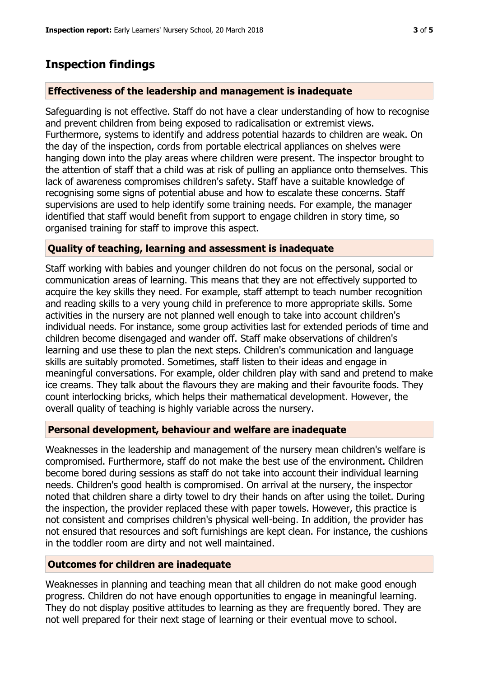## **Inspection findings**

## **Effectiveness of the leadership and management is inadequate**

Safeguarding is not effective. Staff do not have a clear understanding of how to recognise and prevent children from being exposed to radicalisation or extremist views. Furthermore, systems to identify and address potential hazards to children are weak. On the day of the inspection, cords from portable electrical appliances on shelves were hanging down into the play areas where children were present. The inspector brought to the attention of staff that a child was at risk of pulling an appliance onto themselves. This lack of awareness compromises children's safety. Staff have a suitable knowledge of recognising some signs of potential abuse and how to escalate these concerns. Staff supervisions are used to help identify some training needs. For example, the manager identified that staff would benefit from support to engage children in story time, so organised training for staff to improve this aspect.

## **Quality of teaching, learning and assessment is inadequate**

Staff working with babies and younger children do not focus on the personal, social or communication areas of learning. This means that they are not effectively supported to acquire the key skills they need. For example, staff attempt to teach number recognition and reading skills to a very young child in preference to more appropriate skills. Some activities in the nursery are not planned well enough to take into account children's individual needs. For instance, some group activities last for extended periods of time and children become disengaged and wander off. Staff make observations of children's learning and use these to plan the next steps. Children's communication and language skills are suitably promoted. Sometimes, staff listen to their ideas and engage in meaningful conversations. For example, older children play with sand and pretend to make ice creams. They talk about the flavours they are making and their favourite foods. They count interlocking bricks, which helps their mathematical development. However, the overall quality of teaching is highly variable across the nursery.

#### **Personal development, behaviour and welfare are inadequate**

Weaknesses in the leadership and management of the nursery mean children's welfare is compromised. Furthermore, staff do not make the best use of the environment. Children become bored during sessions as staff do not take into account their individual learning needs. Children's good health is compromised. On arrival at the nursery, the inspector noted that children share a dirty towel to dry their hands on after using the toilet. During the inspection, the provider replaced these with paper towels. However, this practice is not consistent and comprises children's physical well-being. In addition, the provider has not ensured that resources and soft furnishings are kept clean. For instance, the cushions in the toddler room are dirty and not well maintained.

## **Outcomes for children are inadequate**

Weaknesses in planning and teaching mean that all children do not make good enough progress. Children do not have enough opportunities to engage in meaningful learning. They do not display positive attitudes to learning as they are frequently bored. They are not well prepared for their next stage of learning or their eventual move to school.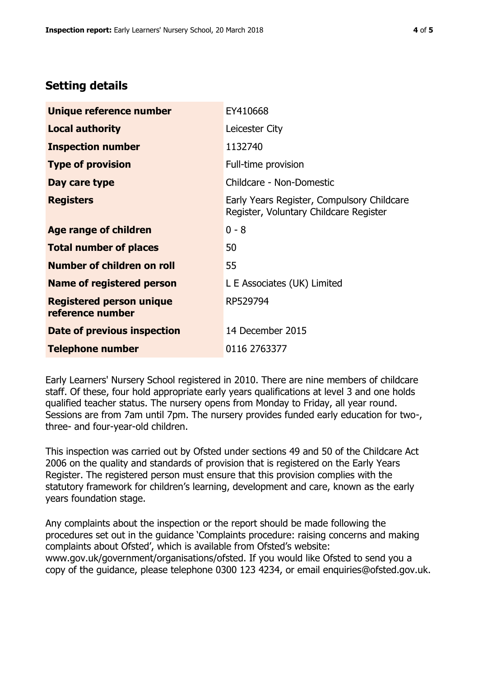# **Setting details**

| Unique reference number                             | EY410668                                                                             |
|-----------------------------------------------------|--------------------------------------------------------------------------------------|
| <b>Local authority</b>                              | Leicester City                                                                       |
| <b>Inspection number</b>                            | 1132740                                                                              |
| <b>Type of provision</b>                            | Full-time provision                                                                  |
| Day care type                                       | Childcare - Non-Domestic                                                             |
| <b>Registers</b>                                    | Early Years Register, Compulsory Childcare<br>Register, Voluntary Childcare Register |
| Age range of children                               | $0 - 8$                                                                              |
| <b>Total number of places</b>                       | 50                                                                                   |
| Number of children on roll                          | 55                                                                                   |
| Name of registered person                           | L E Associates (UK) Limited                                                          |
| <b>Registered person unique</b><br>reference number | RP529794                                                                             |
| Date of previous inspection                         | 14 December 2015                                                                     |
| <b>Telephone number</b>                             | 0116 2763377                                                                         |

Early Learners' Nursery School registered in 2010. There are nine members of childcare staff. Of these, four hold appropriate early years qualifications at level 3 and one holds qualified teacher status. The nursery opens from Monday to Friday, all year round. Sessions are from 7am until 7pm. The nursery provides funded early education for two-, three- and four-year-old children.

This inspection was carried out by Ofsted under sections 49 and 50 of the Childcare Act 2006 on the quality and standards of provision that is registered on the Early Years Register. The registered person must ensure that this provision complies with the statutory framework for children's learning, development and care, known as the early years foundation stage.

Any complaints about the inspection or the report should be made following the procedures set out in the guidance 'Complaints procedure: raising concerns and making complaints about Ofsted', which is available from Ofsted's website: www.gov.uk/government/organisations/ofsted. If you would like Ofsted to send you a copy of the guidance, please telephone 0300 123 4234, or email enquiries@ofsted.gov.uk.